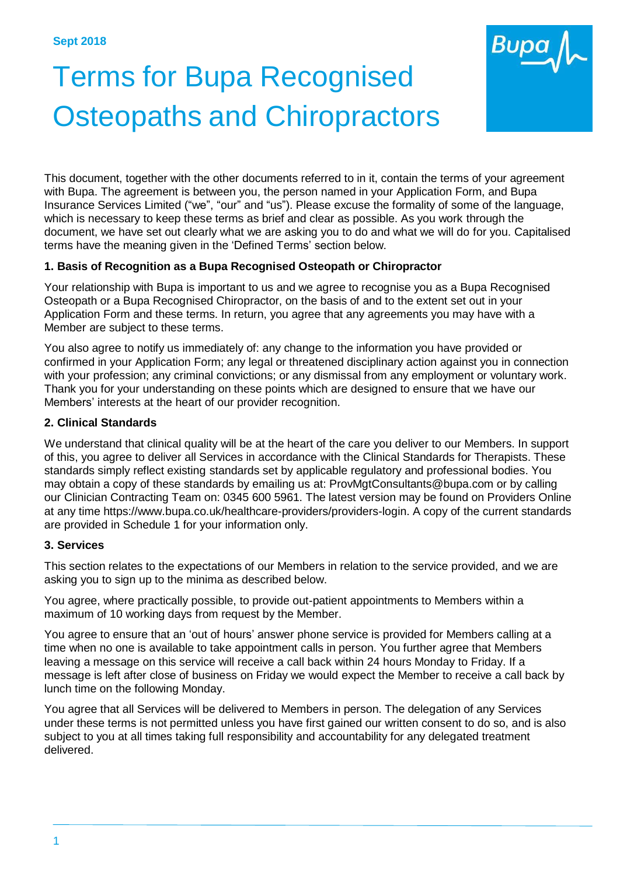

This document, together with the other documents referred to in it, contain the terms of your agreement with Bupa. The agreement is between you, the person named in your Application Form, and Bupa Insurance Services Limited ("we", "our" and "us"). Please excuse the formality of some of the language, which is necessary to keep these terms as brief and clear as possible. As you work through the document, we have set out clearly what we are asking you to do and what we will do for you. Capitalised terms have the meaning given in the 'Defined Terms' section below.

# **1. Basis of Recognition as a Bupa Recognised Osteopath or Chiropractor**

Your relationship with Bupa is important to us and we agree to recognise you as a Bupa Recognised Osteopath or a Bupa Recognised Chiropractor, on the basis of and to the extent set out in your Application Form and these terms. In return, you agree that any agreements you may have with a Member are subject to these terms.

You also agree to notify us immediately of: any change to the information you have provided or confirmed in your Application Form; any legal or threatened disciplinary action against you in connection with your profession; any criminal convictions; or any dismissal from any employment or voluntary work. Thank you for your understanding on these points which are designed to ensure that we have our Members' interests at the heart of our provider recognition.

# **2. Clinical Standards**

We understand that clinical quality will be at the heart of the care you deliver to our Members. In support of this, you agree to deliver all Services in accordance with the Clinical Standards for Therapists. These standards simply reflect existing standards set by applicable regulatory and professional bodies. You may obtain a copy of these standards by emailing us a[t: ProvMgtConsultants@bupa.com](mailto:ProvMgtConsultants@bupa.com) or by calling our Clinician Contracting Team on: 0345 600 5961. The latest version may be found on Providers Online at any time https:/[/www.bupa.co.uk/healthcare-providers/providers-login.](http://www.bupa.co.uk/healthcare-providers/providers-login) A copy of the current standards are provided in Schedule 1 for your information only.

# **3. Services**

This section relates to the expectations of our Members in relation to the service provided, and we are asking you to sign up to the minima as described below.

You agree, where practically possible, to provide out-patient appointments to Members within a maximum of 10 working days from request by the Member.

You agree to ensure that an 'out of hours' answer phone service is provided for Members calling at a time when no one is available to take appointment calls in person. You further agree that Members leaving a message on this service will receive a call back within 24 hours Monday to Friday. If a message is left after close of business on Friday we would expect the Member to receive a call back by lunch time on the following Monday.

You agree that all Services will be delivered to Members in person. The delegation of any Services under these terms is not permitted unless you have first gained our written consent to do so, and is also subject to you at all times taking full responsibility and accountability for any delegated treatment delivered.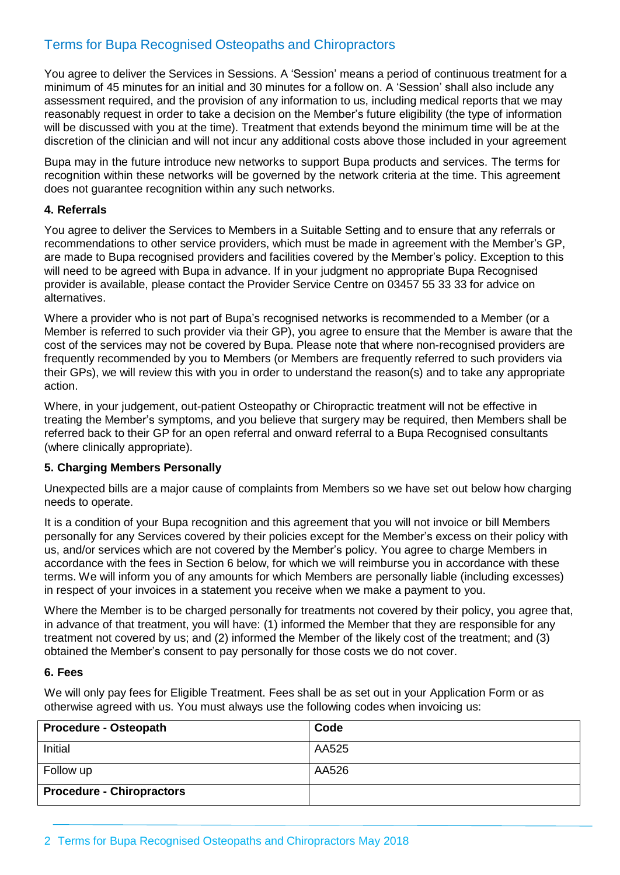You agree to deliver the Services in Sessions. A 'Session' means a period of continuous treatment for a minimum of 45 minutes for an initial and 30 minutes for a follow on. A 'Session' shall also include any assessment required, and the provision of any information to us, including medical reports that we may reasonably request in order to take a decision on the Member's future eligibility (the type of information will be discussed with you at the time). Treatment that extends beyond the minimum time will be at the discretion of the clinician and will not incur any additional costs above those included in your agreement

Bupa may in the future introduce new networks to support Bupa products and services. The terms for recognition within these networks will be governed by the network criteria at the time. This agreement does not guarantee recognition within any such networks.

# **4. Referrals**

You agree to deliver the Services to Members in a Suitable Setting and to ensure that any referrals or recommendations to other service providers, which must be made in agreement with the Member's GP, are made to Bupa recognised providers and facilities covered by the Member's policy. Exception to this will need to be agreed with Bupa in advance. If in your judgment no appropriate Bupa Recognised provider is available, please contact the Provider Service Centre on 03457 55 33 33 for advice on alternatives.

Where a provider who is not part of Bupa's recognised networks is recommended to a Member (or a Member is referred to such provider via their GP), you agree to ensure that the Member is aware that the cost of the services may not be covered by Bupa. Please note that where non-recognised providers are frequently recommended by you to Members (or Members are frequently referred to such providers via their GPs), we will review this with you in order to understand the reason(s) and to take any appropriate action.

Where, in your judgement, out-patient Osteopathy or Chiropractic treatment will not be effective in treating the Member's symptoms, and you believe that surgery may be required, then Members shall be referred back to their GP for an open referral and onward referral to a Bupa Recognised consultants (where clinically appropriate).

# **5. Charging Members Personally**

Unexpected bills are a major cause of complaints from Members so we have set out below how charging needs to operate.

It is a condition of your Bupa recognition and this agreement that you will not invoice or bill Members personally for any Services covered by their policies except for the Member's excess on their policy with us, and/or services which are not covered by the Member's policy. You agree to charge Members in accordance with the fees in Section 6 below, for which we will reimburse you in accordance with these terms. We will inform you of any amounts for which Members are personally liable (including excesses) in respect of your invoices in a statement you receive when we make a payment to you.

Where the Member is to be charged personally for treatments not covered by their policy, you agree that, in advance of that treatment, you will have: (1) informed the Member that they are responsible for any treatment not covered by us; and (2) informed the Member of the likely cost of the treatment; and (3) obtained the Member's consent to pay personally for those costs we do not cover.

# **6. Fees**

We will only pay fees for Eligible Treatment. Fees shall be as set out in your Application Form or as otherwise agreed with us. You must always use the following codes when invoicing us:

| <b>Procedure - Osteopath</b>     | Code  |
|----------------------------------|-------|
| Initial                          | AA525 |
| Follow up                        | AA526 |
| <b>Procedure - Chiropractors</b> |       |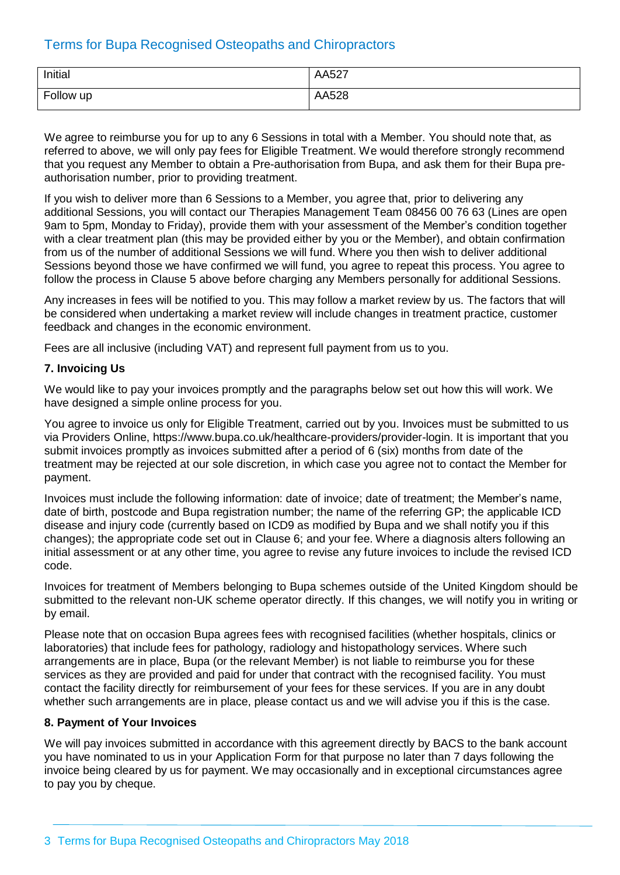| Initial   | AA527 |
|-----------|-------|
| Follow up | AA528 |

We agree to reimburse you for up to any 6 Sessions in total with a Member. You should note that, as referred to above, we will only pay fees for Eligible Treatment. We would therefore strongly recommend that you request any Member to obtain a Pre-authorisation from Bupa, and ask them for their Bupa preauthorisation number, prior to providing treatment.

If you wish to deliver more than 6 Sessions to a Member, you agree that, prior to delivering any additional Sessions, you will contact our Therapies Management Team 08456 00 76 63 (Lines are open 9am to 5pm, Monday to Friday), provide them with your assessment of the Member's condition together with a clear treatment plan (this may be provided either by you or the Member), and obtain confirmation from us of the number of additional Sessions we will fund. Where you then wish to deliver additional Sessions beyond those we have confirmed we will fund, you agree to repeat this process. You agree to follow the process in Clause 5 above before charging any Members personally for additional Sessions.

Any increases in fees will be notified to you. This may follow a market review by us. The factors that will be considered when undertaking a market review will include changes in treatment practice, customer feedback and changes in the economic environment.

Fees are all inclusive (including VAT) and represent full payment from us to you.

# **7. Invoicing Us**

We would like to pay your invoices promptly and the paragraphs below set out how this will work. We have designed a simple online process for you.

You agree to invoice us only for Eligible Treatment, carried out by you. Invoices must be submitted to us via Providers Online, https:/[/www.bupa.co.uk/healthcare-providers/provider-login](http://www.bupa.co.uk/healthcare-providers/provider-login). It is important that you submit invoices promptly as invoices submitted after a period of 6 (six) months from date of the treatment may be rejected at our sole discretion, in which case you agree not to contact the Member for payment.

Invoices must include the following information: date of invoice; date of treatment; the Member's name, date of birth, postcode and Bupa registration number; the name of the referring GP; the applicable ICD disease and injury code (currently based on ICD9 as modified by Bupa and we shall notify you if this changes); the appropriate code set out in Clause 6; and your fee. Where a diagnosis alters following an initial assessment or at any other time, you agree to revise any future invoices to include the revised ICD code.

Invoices for treatment of Members belonging to Bupa schemes outside of the United Kingdom should be submitted to the relevant non-UK scheme operator directly. If this changes, we will notify you in writing or by email.

Please note that on occasion Bupa agrees fees with recognised facilities (whether hospitals, clinics or laboratories) that include fees for pathology, radiology and histopathology services. Where such arrangements are in place, Bupa (or the relevant Member) is not liable to reimburse you for these services as they are provided and paid for under that contract with the recognised facility. You must contact the facility directly for reimbursement of your fees for these services. If you are in any doubt whether such arrangements are in place, please contact us and we will advise you if this is the case.

# **8. Payment of Your Invoices**

We will pay invoices submitted in accordance with this agreement directly by BACS to the bank account you have nominated to us in your Application Form for that purpose no later than 7 days following the invoice being cleared by us for payment. We may occasionally and in exceptional circumstances agree to pay you by cheque.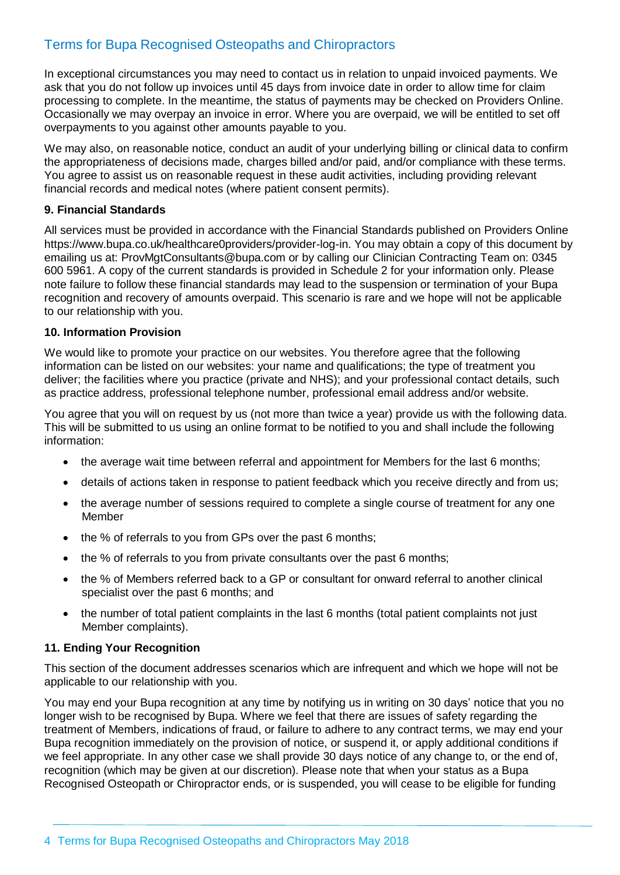In exceptional circumstances you may need to contact us in relation to unpaid invoiced payments. We ask that you do not follow up invoices until 45 days from invoice date in order to allow time for claim processing to complete. In the meantime, the status of payments may be checked on Providers Online. Occasionally we may overpay an invoice in error. Where you are overpaid, we will be entitled to set off overpayments to you against other amounts payable to you.

We may also, on reasonable notice, conduct an audit of your underlying billing or clinical data to confirm the appropriateness of decisions made, charges billed and/or paid, and/or compliance with these terms. You agree to assist us on reasonable request in these audit activities, including providing relevant financial records and medical notes (where patient consent permits).

# **9. Financial Standards**

All services must be provided in accordance with the Financial Standards published on Providers Online https:/[/www.bupa.co.uk/healthcare0providers/provider-log-in.](http://www.bupa.co.uk/healthcare0providers/provider-log-in) You may obtain a copy of this document by emailing us at: [ProvMgtConsultants@bupa.com](mailto:ProvMgtConsultants@bupa.com) or by calling our Clinician Contracting Team on: 0345 600 5961. A copy of the current standards is provided in Schedule 2 for your information only. Please note failure to follow these financial standards may lead to the suspension or termination of your Bupa recognition and recovery of amounts overpaid. This scenario is rare and we hope will not be applicable to our relationship with you.

# **10. Information Provision**

We would like to promote your practice on our websites. You therefore agree that the following information can be listed on our websites: your name and qualifications; the type of treatment you deliver; the facilities where you practice (private and NHS); and your professional contact details, such as practice address, professional telephone number, professional email address and/or website.

You agree that you will on request by us (not more than twice a year) provide us with the following data. This will be submitted to us using an online format to be notified to you and shall include the following information:

- the average wait time between referral and appointment for Members for the last 6 months;
- details of actions taken in response to patient feedback which you receive directly and from us;
- the average number of sessions required to complete a single course of treatment for any one Member
- the % of referrals to you from GPs over the past 6 months;
- the % of referrals to you from private consultants over the past 6 months;
- the % of Members referred back to a GP or consultant for onward referral to another clinical specialist over the past 6 months; and
- the number of total patient complaints in the last 6 months (total patient complaints not just Member complaints).

# **11. Ending Your Recognition**

This section of the document addresses scenarios which are infrequent and which we hope will not be applicable to our relationship with you.

You may end your Bupa recognition at any time by notifying us in writing on 30 days' notice that you no longer wish to be recognised by Bupa. Where we feel that there are issues of safety regarding the treatment of Members, indications of fraud, or failure to adhere to any contract terms, we may end your Bupa recognition immediately on the provision of notice, or suspend it, or apply additional conditions if we feel appropriate. In any other case we shall provide 30 days notice of any change to, or the end of, recognition (which may be given at our discretion). Please note that when your status as a Bupa Recognised Osteopath or Chiropractor ends, or is suspended, you will cease to be eligible for funding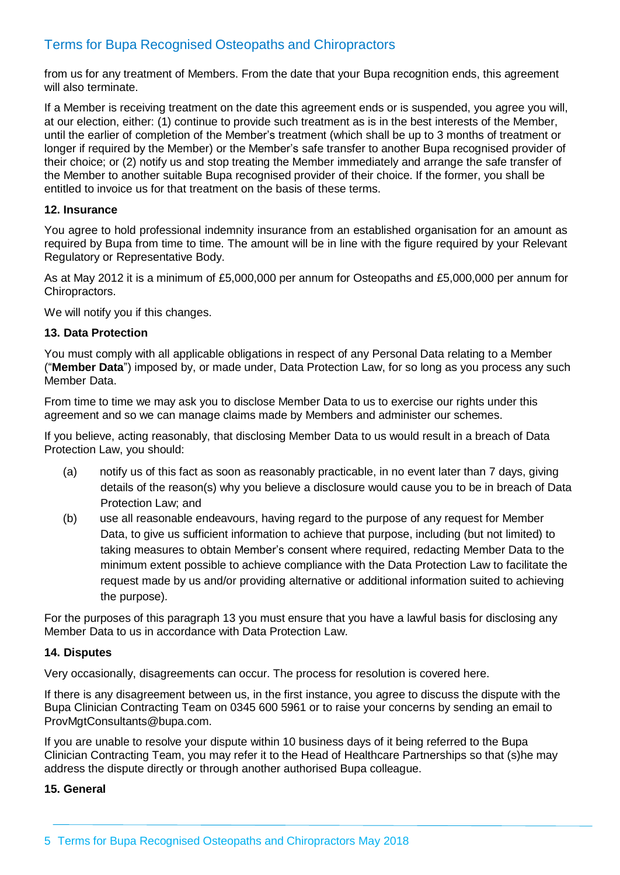from us for any treatment of Members. From the date that your Bupa recognition ends, this agreement will also terminate.

If a Member is receiving treatment on the date this agreement ends or is suspended, you agree you will, at our election, either: (1) continue to provide such treatment as is in the best interests of the Member, until the earlier of completion of the Member's treatment (which shall be up to 3 months of treatment or longer if required by the Member) or the Member's safe transfer to another Bupa recognised provider of their choice; or (2) notify us and stop treating the Member immediately and arrange the safe transfer of the Member to another suitable Bupa recognised provider of their choice. If the former, you shall be entitled to invoice us for that treatment on the basis of these terms.

# **12. Insurance**

You agree to hold professional indemnity insurance from an established organisation for an amount as required by Bupa from time to time. The amount will be in line with the figure required by your Relevant Regulatory or Representative Body.

As at May 2012 it is a minimum of £5,000,000 per annum for Osteopaths and £5,000,000 per annum for Chiropractors.

We will notify you if this changes.

#### **13. Data Protection**

You must comply with all applicable obligations in respect of any Personal Data relating to a Member ("**Member Data**") imposed by, or made under, Data Protection Law, for so long as you process any such Member Data.

From time to time we may ask you to disclose Member Data to us to exercise our rights under this agreement and so we can manage claims made by Members and administer our schemes.

If you believe, acting reasonably, that disclosing Member Data to us would result in a breach of Data Protection Law, you should:

- (a) notify us of this fact as soon as reasonably practicable, in no event later than 7 days, giving details of the reason(s) why you believe a disclosure would cause you to be in breach of Data Protection Law; and
- (b) use all reasonable endeavours, having regard to the purpose of any request for Member Data, to give us sufficient information to achieve that purpose, including (but not limited) to taking measures to obtain Member's consent where required, redacting Member Data to the minimum extent possible to achieve compliance with the Data Protection Law to facilitate the request made by us and/or providing alternative or additional information suited to achieving the purpose).

For the purposes of this paragraph 13 you must ensure that you have a lawful basis for disclosing any Member Data to us in accordance with Data Protection Law.

#### **14. Disputes**

Very occasionally, disagreements can occur. The process for resolution is covered here.

If there is any disagreement between us, in the first instance, you agree to discuss the dispute with the Bupa Clinician Contracting Team on 0345 600 5961 or to raise your concerns by sending an email t[o](mailto:ProvMgtConsultants@bupa.com) [ProvMgtConsultants@bupa.com.](mailto:ProvMgtConsultants@bupa.com)

If you are unable to resolve your dispute within 10 business days of it being referred to the Bupa Clinician Contracting Team, you may refer it to the Head of Healthcare Partnerships so that (s)he may address the dispute directly or through another authorised Bupa colleague.

#### **15. General**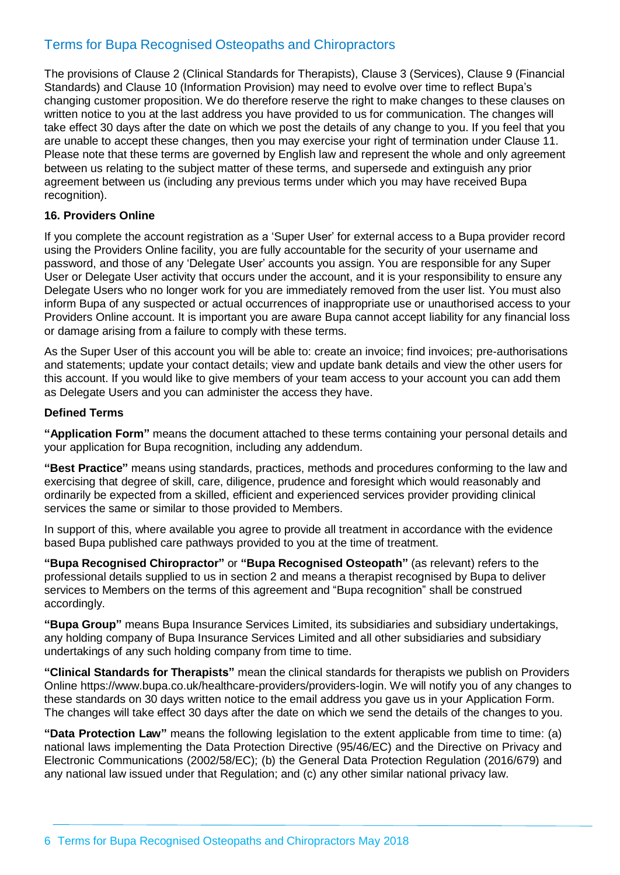The provisions of Clause 2 (Clinical Standards for Therapists), Clause 3 (Services), Clause 9 (Financial Standards) and Clause 10 (Information Provision) may need to evolve over time to reflect Bupa's changing customer proposition. We do therefore reserve the right to make changes to these clauses on written notice to you at the last address you have provided to us for communication. The changes will take effect 30 days after the date on which we post the details of any change to you. If you feel that you are unable to accept these changes, then you may exercise your right of termination under Clause 11. Please note that these terms are governed by English law and represent the whole and only agreement between us relating to the subject matter of these terms, and supersede and extinguish any prior agreement between us (including any previous terms under which you may have received Bupa recognition).

# **16. Providers Online**

If you complete the account registration as a 'Super User' for external access to a Bupa provider record using the Providers Online facility, you are fully accountable for the security of your username and password, and those of any 'Delegate User' accounts you assign. You are responsible for any Super User or Delegate User activity that occurs under the account, and it is your responsibility to ensure any Delegate Users who no longer work for you are immediately removed from the user list. You must also inform Bupa of any suspected or actual occurrences of inappropriate use or unauthorised access to your Providers Online account. It is important you are aware Bupa cannot accept liability for any financial loss or damage arising from a failure to comply with these terms.

As the Super User of this account you will be able to: create an invoice; find invoices; pre-authorisations and statements; update your contact details; view and update bank details and view the other users for this account. If you would like to give members of your team access to your account you can add them as Delegate Users and you can administer the access they have.

# **Defined Terms**

**"Application Form"** means the document attached to these terms containing your personal details and your application for Bupa recognition, including any addendum.

**"Best Practice"** means using standards, practices, methods and procedures conforming to the law and exercising that degree of skill, care, diligence, prudence and foresight which would reasonably and ordinarily be expected from a skilled, efficient and experienced services provider providing clinical services the same or similar to those provided to Members.

In support of this, where available you agree to provide all treatment in accordance with the evidence based Bupa published care pathways provided to you at the time of treatment.

**"Bupa Recognised Chiropractor"** or **"Bupa Recognised Osteopath"** (as relevant) refers to the professional details supplied to us in section 2 and means a therapist recognised by Bupa to deliver services to Members on the terms of this agreement and "Bupa recognition" shall be construed accordingly.

**"Bupa Group"** means Bupa Insurance Services Limited, its subsidiaries and subsidiary undertakings, any holding company of Bupa Insurance Services Limited and all other subsidiaries and subsidiary undertakings of any such holding company from time to time.

**"Clinical Standards for Therapists"** mean the clinical standards for therapists we publish on Providers Online https:/[/www.bupa.co.uk/healthcare-providers/providers-login.](http://www.bupa.co.uk/healthcare-providers/providers-login) We will notify you of any changes to these standards on 30 days written notice to the email address you gave us in your Application Form. The changes will take effect 30 days after the date on which we send the details of the changes to you.

**"Data Protection Law"** means the following legislation to the extent applicable from time to time: (a) national laws implementing the Data Protection Directive (95/46/EC) and the Directive on Privacy and Electronic Communications (2002/58/EC); (b) the General Data Protection Regulation (2016/679) and any national law issued under that Regulation; and (c) any other similar national privacy law.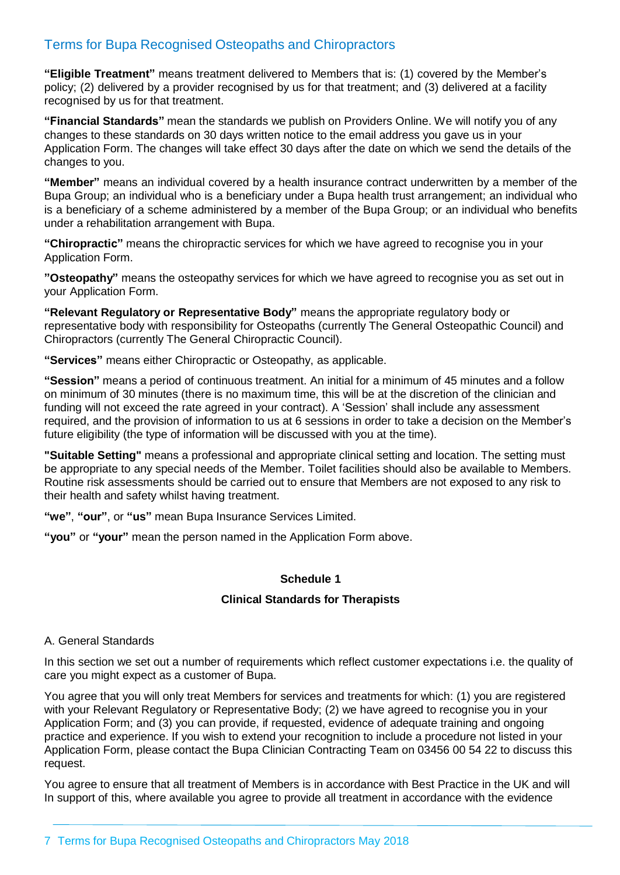**"Eligible Treatment"** means treatment delivered to Members that is: (1) covered by the Member's policy; (2) delivered by a provider recognised by us for that treatment; and (3) delivered at a facility recognised by us for that treatment.

**"Financial Standards"** mean the standards we publish on Providers Online. We will notify you of any changes to these standards on 30 days written notice to the email address you gave us in your Application Form. The changes will take effect 30 days after the date on which we send the details of the changes to you.

**"Member"** means an individual covered by a health insurance contract underwritten by a member of the Bupa Group; an individual who is a beneficiary under a Bupa health trust arrangement; an individual who is a beneficiary of a scheme administered by a member of the Bupa Group; or an individual who benefits under a rehabilitation arrangement with Bupa.

**"Chiropractic"** means the chiropractic services for which we have agreed to recognise you in your Application Form.

**"Osteopathy"** means the osteopathy services for which we have agreed to recognise you as set out in your Application Form.

**"Relevant Regulatory or Representative Body"** means the appropriate regulatory body or representative body with responsibility for Osteopaths (currently The General Osteopathic Council) and Chiropractors (currently The General Chiropractic Council).

**"Services"** means either Chiropractic or Osteopathy, as applicable.

**"Session"** means a period of continuous treatment. An initial for a minimum of 45 minutes and a follow on minimum of 30 minutes (there is no maximum time, this will be at the discretion of the clinician and funding will not exceed the rate agreed in your contract). A 'Session' shall include any assessment required, and the provision of information to us at 6 sessions in order to take a decision on the Member's future eligibility (the type of information will be discussed with you at the time).

**"Suitable Setting"** means a professional and appropriate clinical setting and location. The setting must be appropriate to any special needs of the Member. Toilet facilities should also be available to Members. Routine risk assessments should be carried out to ensure that Members are not exposed to any risk to their health and safety whilst having treatment.

**"we"**, **"our"**, or **"us"** mean Bupa Insurance Services Limited.

**"you"** or **"your"** mean the person named in the Application Form above.

# **Schedule 1**

# **Clinical Standards for Therapists**

#### A. General Standards

In this section we set out a number of requirements which reflect customer expectations i.e. the quality of care you might expect as a customer of Bupa.

You agree that you will only treat Members for services and treatments for which: (1) you are registered with your Relevant Regulatory or Representative Body; (2) we have agreed to recognise you in your Application Form; and (3) you can provide, if requested, evidence of adequate training and ongoing practice and experience. If you wish to extend your recognition to include a procedure not listed in your Application Form, please contact the Bupa Clinician Contracting Team on 03456 00 54 22 to discuss this request.

You agree to ensure that all treatment of Members is in accordance with Best Practice in the UK and will In support of this, where available you agree to provide all treatment in accordance with the evidence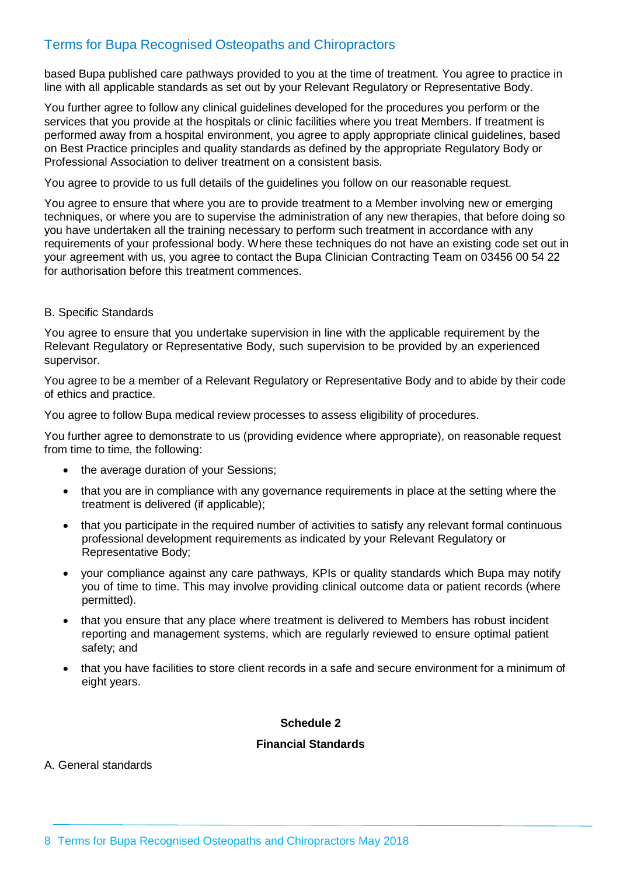based Bupa published care pathways provided to you at the time of treatment. You agree to practice in line with all applicable standards as set out by your Relevant Regulatory or Representative Body.

You further agree to follow any clinical guidelines developed for the procedures you perform or the services that you provide at the hospitals or clinic facilities where you treat Members. If treatment is performed away from a hospital environment, you agree to apply appropriate clinical guidelines, based on Best Practice principles and quality standards as defined by the appropriate Regulatory Body or Professional Association to deliver treatment on a consistent basis.

You agree to provide to us full details of the guidelines you follow on our reasonable request.

You agree to ensure that where you are to provide treatment to a Member involving new or emerging techniques, or where you are to supervise the administration of any new therapies, that before doing so you have undertaken all the training necessary to perform such treatment in accordance with any requirements of your professional body. Where these techniques do not have an existing code set out in your agreement with us, you agree to contact the Bupa Clinician Contracting Team on 03456 00 54 22 for authorisation before this treatment commences.

# B. Specific Standards

You agree to ensure that you undertake supervision in line with the applicable requirement by the Relevant Regulatory or Representative Body, such supervision to be provided by an experienced supervisor.

You agree to be a member of a Relevant Regulatory or Representative Body and to abide by their code of ethics and practice.

You agree to follow Bupa medical review processes to assess eligibility of procedures.

You further agree to demonstrate to us (providing evidence where appropriate), on reasonable request from time to time, the following:

- the average duration of your Sessions;
- that you are in compliance with any governance requirements in place at the setting where the treatment is delivered (if applicable);
- that you participate in the required number of activities to satisfy any relevant formal continuous professional development requirements as indicated by your Relevant Regulatory or Representative Body;
- your compliance against any care pathways, KPIs or quality standards which Bupa may notify you of time to time. This may involve providing clinical outcome data or patient records (where permitted).
- that you ensure that any place where treatment is delivered to Members has robust incident reporting and management systems, which are regularly reviewed to ensure optimal patient safety; and
- that you have facilities to store client records in a safe and secure environment for a minimum of eight years.

# **Schedule 2**

# **Financial Standards**

A. General standards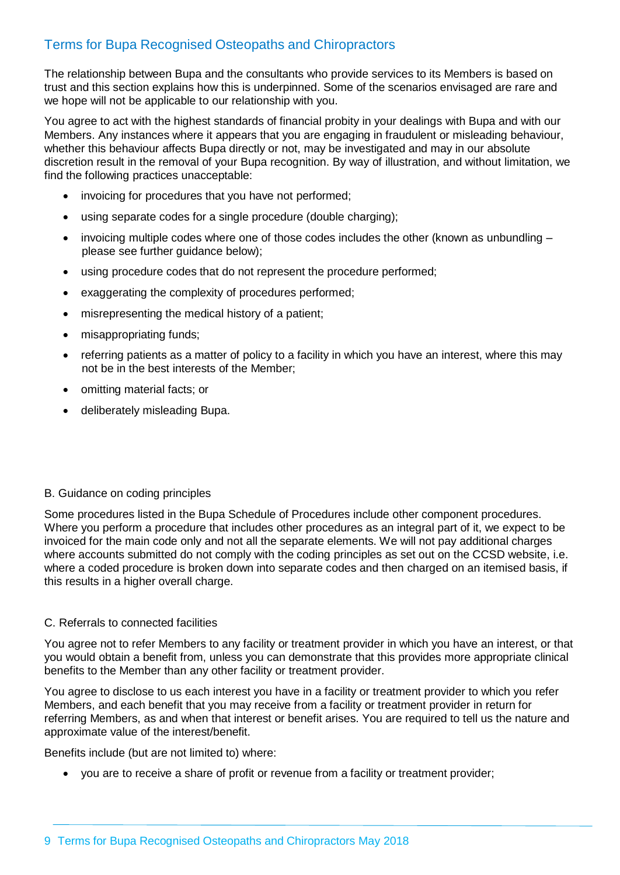The relationship between Bupa and the consultants who provide services to its Members is based on trust and this section explains how this is underpinned. Some of the scenarios envisaged are rare and we hope will not be applicable to our relationship with you.

You agree to act with the highest standards of financial probity in your dealings with Bupa and with our Members. Any instances where it appears that you are engaging in fraudulent or misleading behaviour, whether this behaviour affects Bupa directly or not, may be investigated and may in our absolute discretion result in the removal of your Bupa recognition. By way of illustration, and without limitation, we find the following practices unacceptable:

- invoicing for procedures that you have not performed;
- using separate codes for a single procedure (double charging);
- invoicing multiple codes where one of those codes includes the other (known as unbundling  $$ please see further guidance below);
- using procedure codes that do not represent the procedure performed;
- exaggerating the complexity of procedures performed;
- misrepresenting the medical history of a patient;
- misappropriating funds;
- referring patients as a matter of policy to a facility in which you have an interest, where this may not be in the best interests of the Member;
- omitting material facts; or
- deliberately misleading Bupa.

#### B. Guidance on coding principles

Some procedures listed in the Bupa Schedule of Procedures include other component procedures. Where you perform a procedure that includes other procedures as an integral part of it, we expect to be invoiced for the main code only and not all the separate elements. We will not pay additional charges where accounts submitted do not comply with the coding principles as set out on the CCSD website, i.e. where a coded procedure is broken down into separate codes and then charged on an itemised basis, if this results in a higher overall charge.

#### C. Referrals to connected facilities

You agree not to refer Members to any facility or treatment provider in which you have an interest, or that you would obtain a benefit from, unless you can demonstrate that this provides more appropriate clinical benefits to the Member than any other facility or treatment provider.

You agree to disclose to us each interest you have in a facility or treatment provider to which you refer Members, and each benefit that you may receive from a facility or treatment provider in return for referring Members, as and when that interest or benefit arises. You are required to tell us the nature and approximate value of the interest/benefit.

Benefits include (but are not limited to) where:

• you are to receive a share of profit or revenue from a facility or treatment provider;